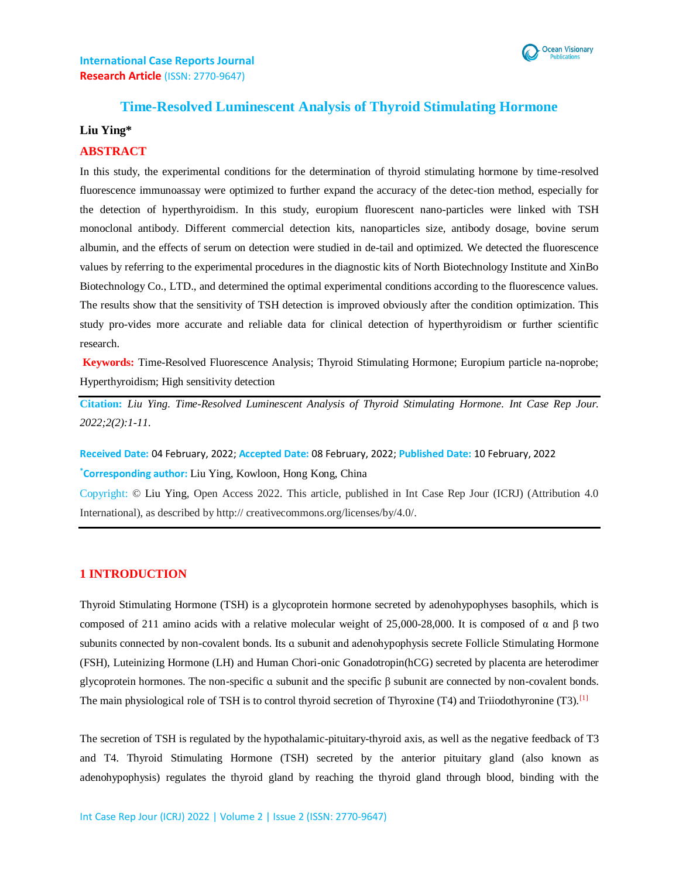

### **Time-Resolved Luminescent Analysis of Thyroid Stimulating Hormone**

### **Liu Ying\***

#### **ABSTRACT**

In this study, the experimental conditions for the determination of thyroid stimulating hormone by time-resolved fluorescence immunoassay were optimized to further expand the accuracy of the detec-tion method, especially for the detection of hyperthyroidism. In this study, europium fluorescent nano-particles were linked with TSH monoclonal antibody. Different commercial detection kits, nanoparticles size, antibody dosage, bovine serum albumin, and the effects of serum on detection were studied in de-tail and optimized. We detected the fluorescence values by referring to the experimental procedures in the diagnostic kits of North Biotechnology Institute and XinBo Biotechnology Co., LTD., and determined the optimal experimental conditions according to the fluorescence values. The results show that the sensitivity of TSH detection is improved obviously after the condition optimization. This study pro-vides more accurate and reliable data for clinical detection of hyperthyroidism or further scientific research.

**Keywords:** Time-Resolved Fluorescence Analysis; Thyroid Stimulating Hormone; Europium particle na-noprobe; Hyperthyroidism; High sensitivity detection

**Citation:** *Liu Ying*. *Time-Resolved Luminescent Analysis of Thyroid Stimulating Hormone. Int Case Rep Jour. 2022;2(2):1-11.*

**Received Date:** 04 February, 2022; **Accepted Date:** 08 February, 2022; **Published Date:** 10 February, 2022

**\*Corresponding author:** Liu Ying, Kowloon, Hong Kong, China

Copyright: © Liu Ying, Open Access 2022. This article, published in Int Case Rep Jour (ICRJ) (Attribution 4.0 International), as described by http:// creativecommons.org/licenses/by/4.0/.

### **1 INTRODUCTION**

Thyroid Stimulating Hormone (TSH) is a glycoprotein hormone secreted by adenohypophyses basophils, which is composed of 211 amino acids with a relative molecular weight of 25,000-28,000. It is composed of α and β two subunits connected by non-covalent bonds. Its a subunit and adenohypophysis secrete Follicle Stimulating Hormone (FSH), Luteinizing Hormone (LH) and Human Chori-onic Gonadotropin(hCG) secreted by placenta are heterodimer glycoprotein hormones. The non-specific  $\alpha$  subunit and the specific  $\beta$  subunit are connected by non-covalent bonds. The main physiological role of TSH is to control thyroid secretion of Thyroxine (T4) and Triiodothyronine (T3).<sup>[1]</sup>

The secretion of TSH is regulated by the hypothalamic-pituitary-thyroid axis, as well as the negative feedback of T3 and T4. Thyroid Stimulating Hormone (TSH) secreted by the anterior pituitary gland (also known as adenohypophysis) regulates the thyroid gland by reaching the thyroid gland through blood, binding with the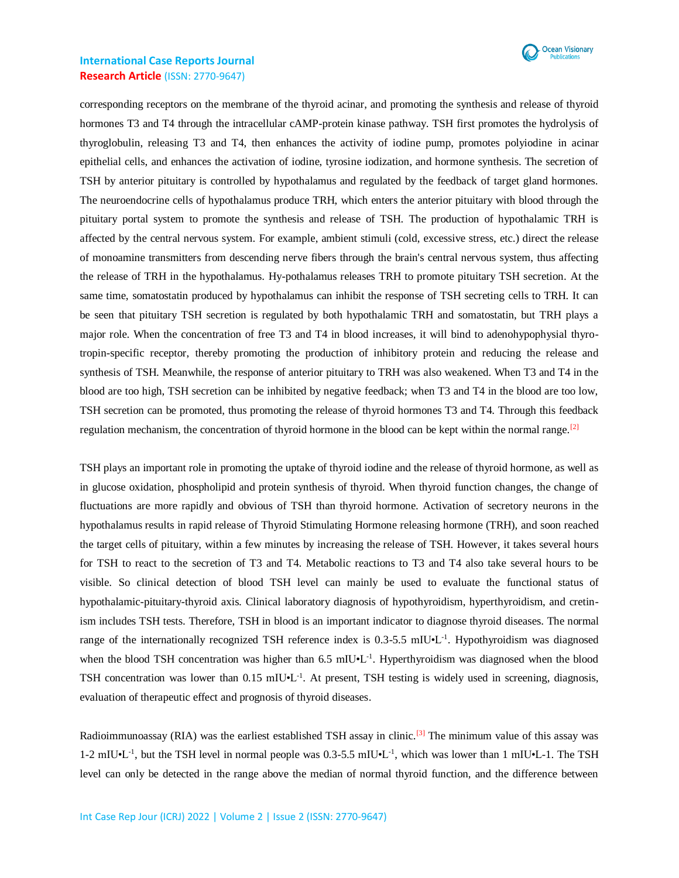

corresponding receptors on the membrane of the thyroid acinar, and promoting the synthesis and release of thyroid hormones T3 and T4 through the intracellular cAMP-protein kinase pathway. TSH first promotes the hydrolysis of thyroglobulin, releasing T3 and T4, then enhances the activity of iodine pump, promotes polyiodine in acinar epithelial cells, and enhances the activation of iodine, tyrosine iodization, and hormone synthesis. The secretion of TSH by anterior pituitary is controlled by hypothalamus and regulated by the feedback of target gland hormones. The neuroendocrine cells of hypothalamus produce TRH, which enters the anterior pituitary with blood through the pituitary portal system to promote the synthesis and release of TSH. The production of hypothalamic TRH is affected by the central nervous system. For example, ambient stimuli (cold, excessive stress, etc.) direct the release of monoamine transmitters from descending nerve fibers through the brain's central nervous system, thus affecting the release of TRH in the hypothalamus. Hy-pothalamus releases TRH to promote pituitary TSH secretion. At the same time, somatostatin produced by hypothalamus can inhibit the response of TSH secreting cells to TRH. It can be seen that pituitary TSH secretion is regulated by both hypothalamic TRH and somatostatin, but TRH plays a major role. When the concentration of free T3 and T4 in blood increases, it will bind to adenohypophysial thyrotropin-specific receptor, thereby promoting the production of inhibitory protein and reducing the release and synthesis of TSH. Meanwhile, the response of anterior pituitary to TRH was also weakened. When T3 and T4 in the blood are too high, TSH secretion can be inhibited by negative feedback; when T3 and T4 in the blood are too low, TSH secretion can be promoted, thus promoting the release of thyroid hormones T3 and T4. Through this feedback regulation mechanism, the concentration of thyroid hormone in the blood can be kept within the normal range.<sup>[2]</sup>

TSH plays an important role in promoting the uptake of thyroid iodine and the release of thyroid hormone, as well as in glucose oxidation, phospholipid and protein synthesis of thyroid. When thyroid function changes, the change of fluctuations are more rapidly and obvious of TSH than thyroid hormone. Activation of secretory neurons in the hypothalamus results in rapid release of Thyroid Stimulating Hormone releasing hormone (TRH), and soon reached the target cells of pituitary, within a few minutes by increasing the release of TSH. However, it takes several hours for TSH to react to the secretion of T3 and T4. Metabolic reactions to T3 and T4 also take several hours to be visible. So clinical detection of blood TSH level can mainly be used to evaluate the functional status of hypothalamic-pituitary-thyroid axis. Clinical laboratory diagnosis of hypothyroidism, hyperthyroidism, and cretinism includes TSH tests. Therefore, TSH in blood is an important indicator to diagnose thyroid diseases. The normal range of the internationally recognized TSH reference index is 0.3-5.5 mIU•L<sup>-1</sup>. Hypothyroidism was diagnosed when the blood TSH concentration was higher than  $6.5 \text{ mIU·L}^{-1}$ . Hyperthyroidism was diagnosed when the blood TSH concentration was lower than 0.15 mIU•L<sup>-1</sup>. At present, TSH testing is widely used in screening, diagnosis, evaluation of therapeutic effect and prognosis of thyroid diseases.

Radioimmunoassay (RIA) was the earliest established TSH assay in clinic.[3] The minimum value of this assay was 1-2 mIU•L<sup>-1</sup>, but the TSH level in normal people was 0.3-5.5 mIU•L<sup>-1</sup>, which was lower than 1 mIU•L-1. The TSH level can only be detected in the range above the median of normal thyroid function, and the difference between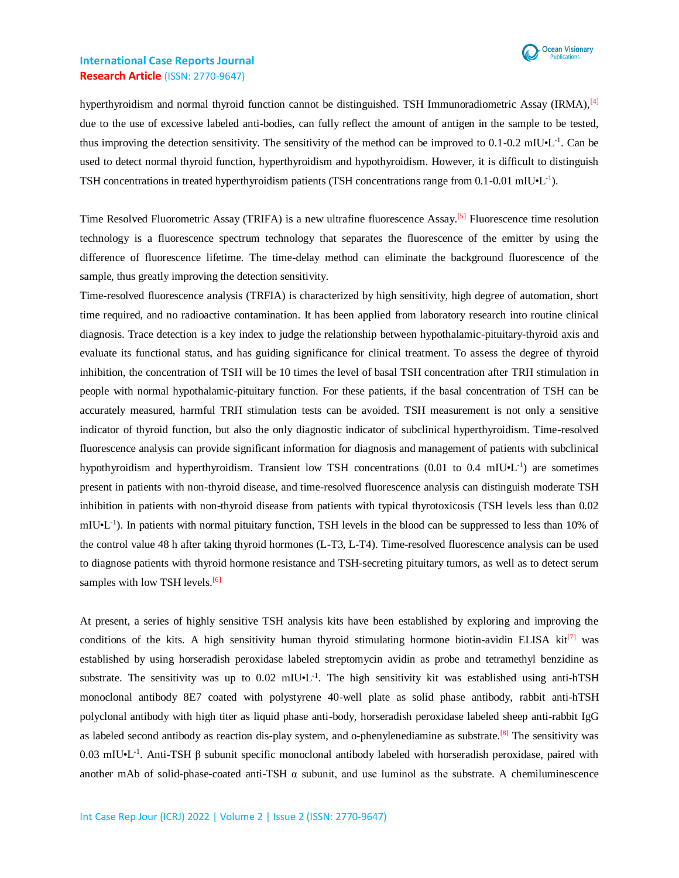

hyperthyroidism and normal thyroid function cannot be distinguished. TSH Immunoradiometric Assay (IRMA),<sup>[4]</sup> due to the use of excessive labeled anti-bodies, can fully reflect the amount of antigen in the sample to be tested, thus improving the detection sensitivity. The sensitivity of the method can be improved to 0.1-0.2 mIU•L<sup>-1</sup>. Can be used to detect normal thyroid function, hyperthyroidism and hypothyroidism. However, it is difficult to distinguish TSH concentrations in treated hyperthyroidism patients (TSH concentrations range from 0.1-0.01 mIU•L<sup>-1</sup>).

Time Resolved Fluorometric Assay (TRIFA) is a new ultrafine fluorescence Assay.<sup>[5]</sup> Fluorescence time resolution technology is a fluorescence spectrum technology that separates the fluorescence of the emitter by using the difference of fluorescence lifetime. The time-delay method can eliminate the background fluorescence of the sample, thus greatly improving the detection sensitivity.

Time-resolved fluorescence analysis (TRFIA) is characterized by high sensitivity, high degree of automation, short time required, and no radioactive contamination. It has been applied from laboratory research into routine clinical diagnosis. Trace detection is a key index to judge the relationship between hypothalamic-pituitary-thyroid axis and evaluate its functional status, and has guiding significance for clinical treatment. To assess the degree of thyroid inhibition, the concentration of TSH will be 10 times the level of basal TSH concentration after TRH stimulation in people with normal hypothalamic-pituitary function. For these patients, if the basal concentration of TSH can be accurately measured, harmful TRH stimulation tests can be avoided. TSH measurement is not only a sensitive indicator of thyroid function, but also the only diagnostic indicator of subclinical hyperthyroidism. Time-resolved fluorescence analysis can provide significant information for diagnosis and management of patients with subclinical hypothyroidism and hyperthyroidism. Transient low TSH concentrations (0.01 to 0.4 mIU•L<sup>-1</sup>) are sometimes present in patients with non-thyroid disease, and time-resolved fluorescence analysis can distinguish moderate TSH inhibition in patients with non-thyroid disease from patients with typical thyrotoxicosis (TSH levels less than 0.02 mIU•L<sup>-1</sup>). In patients with normal pituitary function, TSH levels in the blood can be suppressed to less than 10% of the control value 48 h after taking thyroid hormones (L-T3, L-T4). Time-resolved fluorescence analysis can be used to diagnose patients with thyroid hormone resistance and TSH-secreting pituitary tumors, as well as to detect serum samples with low TSH levels.<sup>[6]</sup>

At present, a series of highly sensitive TSH analysis kits have been established by exploring and improving the conditions of the kits. A high sensitivity human thyroid stimulating hormone biotin-avidin ELISA kit<sup>[7]</sup> was established by using horseradish peroxidase labeled streptomycin avidin as probe and tetramethyl benzidine as substrate. The sensitivity was up to 0.02 mIU.<sup>1</sup>. The high sensitivity kit was established using anti-hTSH monoclonal antibody 8E7 coated with polystyrene 40-well plate as solid phase antibody, rabbit anti-hTSH polyclonal antibody with high titer as liquid phase anti-body, horseradish peroxidase labeled sheep anti-rabbit IgG as labeled second antibody as reaction dis-play system, and o-phenylenediamine as substrate.<sup>[8]</sup> The sensitivity was 0.03 mIU•L<sup>-1</sup>. Anti-TSH β subunit specific monoclonal antibody labeled with horseradish peroxidase, paired with another mAb of solid-phase-coated anti-TSH  $\alpha$  subunit, and use luminol as the substrate. A chemiluminescence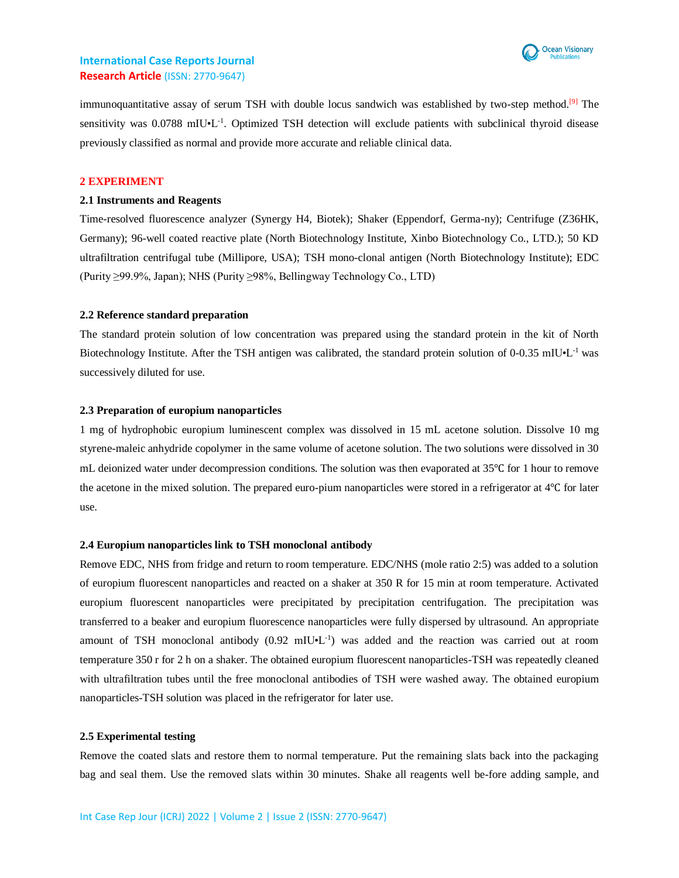

immunoquantitative assay of serum TSH with double locus sandwich was established by two-step method.<sup>[9]</sup> The sensitivity was 0.0788 mIU•L<sup>-1</sup>. Optimized TSH detection will exclude patients with subclinical thyroid disease previously classified as normal and provide more accurate and reliable clinical data.

#### **2 EXPERIMENT**

#### **2.1 Instruments and Reagents**

Time-resolved fluorescence analyzer (Synergy H4, Biotek); Shaker (Eppendorf, Germa-ny); Centrifuge (Z36HK, Germany); 96-well coated reactive plate (North Biotechnology Institute, Xinbo Biotechnology Co., LTD.); 50 KD ultrafiltration centrifugal tube (Millipore, USA); TSH mono-clonal antigen (North Biotechnology Institute); EDC (Purity ≥99.9%, Japan); NHS (Purity ≥98%, Bellingway Technology Co., LTD)

#### **2.2 Reference standard preparation**

The standard protein solution of low concentration was prepared using the standard protein in the kit of North Biotechnology Institute. After the TSH antigen was calibrated, the standard protein solution of 0-0.35 mIU•L<sup>-1</sup> was successively diluted for use.

#### **2.3 Preparation of europium nanoparticles**

1 mg of hydrophobic europium luminescent complex was dissolved in 15 mL acetone solution. Dissolve 10 mg styrene-maleic anhydride copolymer in the same volume of acetone solution. The two solutions were dissolved in 30 mL deionized water under decompression conditions. The solution was then evaporated at 35℃ for 1 hour to remove the acetone in the mixed solution. The prepared euro-pium nanoparticles were stored in a refrigerator at 4℃ for later use.

#### **2.4 Europium nanoparticles link to TSH monoclonal antibody**

Remove EDC, NHS from fridge and return to room temperature. EDC/NHS (mole ratio 2:5) was added to a solution of europium fluorescent nanoparticles and reacted on a shaker at 350 R for 15 min at room temperature. Activated europium fluorescent nanoparticles were precipitated by precipitation centrifugation. The precipitation was transferred to a beaker and europium fluorescence nanoparticles were fully dispersed by ultrasound. An appropriate amount of TSH monoclonal antibody  $(0.92 \text{ mIU} \cdot L^{-1})$  was added and the reaction was carried out at room temperature 350 r for 2 h on a shaker. The obtained europium fluorescent nanoparticles-TSH was repeatedly cleaned with ultrafiltration tubes until the free monoclonal antibodies of TSH were washed away. The obtained europium nanoparticles-TSH solution was placed in the refrigerator for later use.

#### **2.5 Experimental testing**

Remove the coated slats and restore them to normal temperature. Put the remaining slats back into the packaging bag and seal them. Use the removed slats within 30 minutes. Shake all reagents well be-fore adding sample, and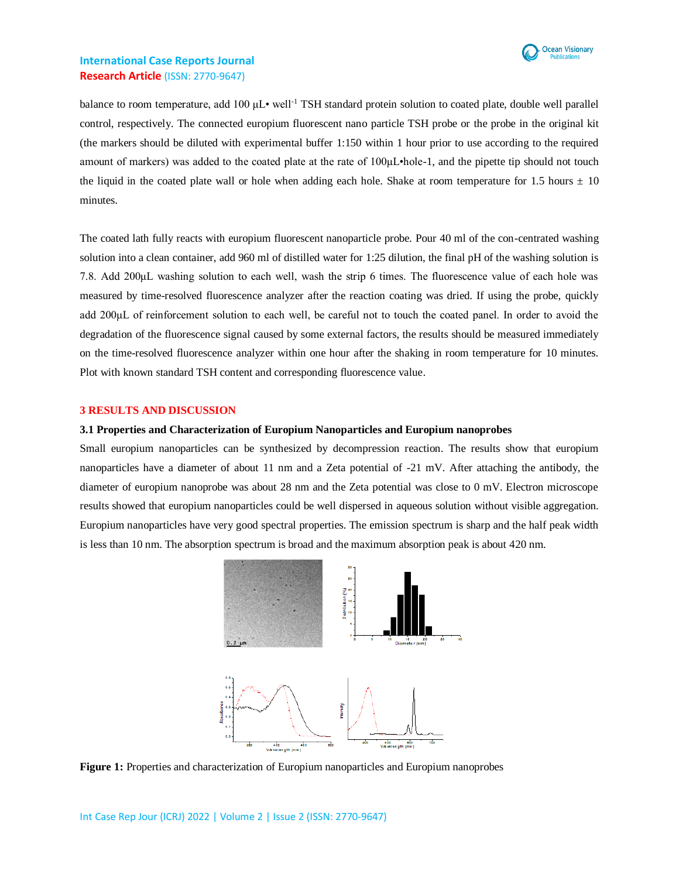

balance to room temperature, add 100 μL• well-1 TSH standard protein solution to coated plate, double well parallel control, respectively. The connected europium fluorescent nano particle TSH probe or the probe in the original kit (the markers should be diluted with experimental buffer 1:150 within 1 hour prior to use according to the required amount of markers) was added to the coated plate at the rate of 100μL•hole-1, and the pipette tip should not touch the liquid in the coated plate wall or hole when adding each hole. Shake at room temperature for 1.5 hours  $\pm$  10 minutes.

The coated lath fully reacts with europium fluorescent nanoparticle probe. Pour 40 ml of the con-centrated washing solution into a clean container, add 960 ml of distilled water for 1:25 dilution, the final pH of the washing solution is 7.8. Add 200μL washing solution to each well, wash the strip 6 times. The fluorescence value of each hole was measured by time-resolved fluorescence analyzer after the reaction coating was dried. If using the probe, quickly add 200μL of reinforcement solution to each well, be careful not to touch the coated panel. In order to avoid the degradation of the fluorescence signal caused by some external factors, the results should be measured immediately on the time-resolved fluorescence analyzer within one hour after the shaking in room temperature for 10 minutes. Plot with known standard TSH content and corresponding fluorescence value.

#### **3 RESULTS AND DISCUSSION**

#### **3.1 Properties and Characterization of Europium Nanoparticles and Europium nanoprobes**

Small europium nanoparticles can be synthesized by decompression reaction. The results show that europium nanoparticles have a diameter of about 11 nm and a Zeta potential of -21 mV. After attaching the antibody, the diameter of europium nanoprobe was about 28 nm and the Zeta potential was close to 0 mV. Electron microscope results showed that europium nanoparticles could be well dispersed in aqueous solution without visible aggregation. Europium nanoparticles have very good spectral properties. The emission spectrum is sharp and the half peak width is less than 10 nm. The absorption spectrum is broad and the maximum absorption peak is about 420 nm.



**Figure 1:** Properties and characterization of Europium nanoparticles and Europium nanoprobes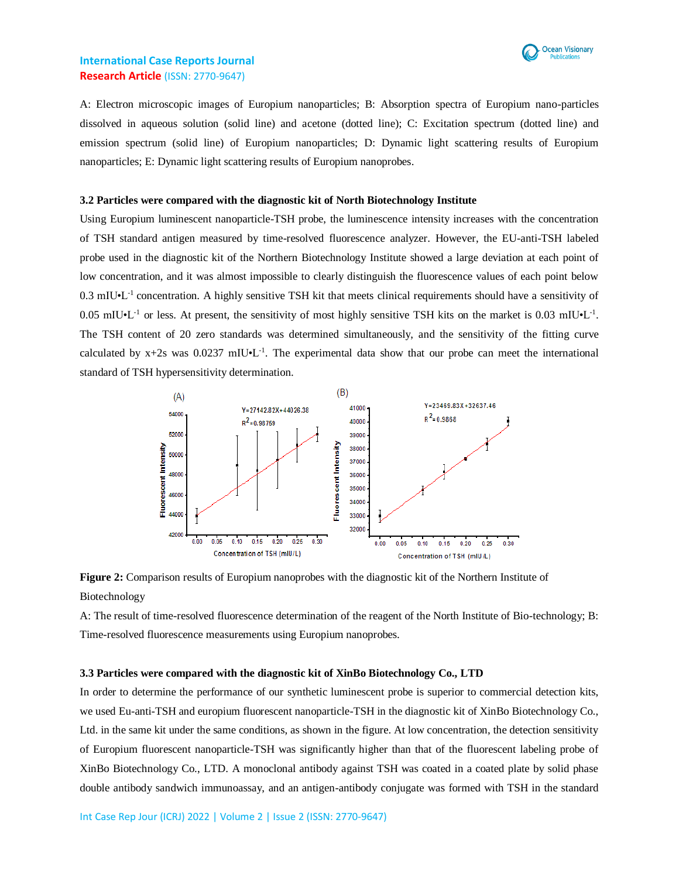

A: Electron microscopic images of Europium nanoparticles; B: Absorption spectra of Europium nano-particles dissolved in aqueous solution (solid line) and acetone (dotted line); C: Excitation spectrum (dotted line) and emission spectrum (solid line) of Europium nanoparticles; D: Dynamic light scattering results of Europium nanoparticles; E: Dynamic light scattering results of Europium nanoprobes.

### **3.2 Particles were compared with the diagnostic kit of North Biotechnology Institute**

Using Europium luminescent nanoparticle-TSH probe, the luminescence intensity increases with the concentration of TSH standard antigen measured by time-resolved fluorescence analyzer. However, the EU-anti-TSH labeled probe used in the diagnostic kit of the Northern Biotechnology Institute showed a large deviation at each point of low concentration, and it was almost impossible to clearly distinguish the fluorescence values of each point below 0.3 mIU•L<sup>-1</sup> concentration. A highly sensitive TSH kit that meets clinical requirements should have a sensitivity of  $0.05$  mIU $\cdot$ L<sup>-1</sup> or less. At present, the sensitivity of most highly sensitive TSH kits on the market is 0.03 mIU $\cdot$ L<sup>-1</sup>. The TSH content of 20 zero standards was determined simultaneously, and the sensitivity of the fitting curve calculated by  $x+2s$  was 0.0237 mIU $\cdot L^{-1}$ . The experimental data show that our probe can meet the international standard of TSH hypersensitivity determination.



**Figure 2:** Comparison results of Europium nanoprobes with the diagnostic kit of the Northern Institute of Biotechnology

A: The result of time-resolved fluorescence determination of the reagent of the North Institute of Bio-technology; B: Time-resolved fluorescence measurements using Europium nanoprobes.

#### **3.3 Particles were compared with the diagnostic kit of XinBo Biotechnology Co., LTD**

In order to determine the performance of our synthetic luminescent probe is superior to commercial detection kits, we used Eu-anti-TSH and europium fluorescent nanoparticle-TSH in the diagnostic kit of XinBo Biotechnology Co., Ltd. in the same kit under the same conditions, as shown in the figure. At low concentration, the detection sensitivity of Europium fluorescent nanoparticle-TSH was significantly higher than that of the fluorescent labeling probe of XinBo Biotechnology Co., LTD. A monoclonal antibody against TSH was coated in a coated plate by solid phase double antibody sandwich immunoassay, and an antigen-antibody conjugate was formed with TSH in the standard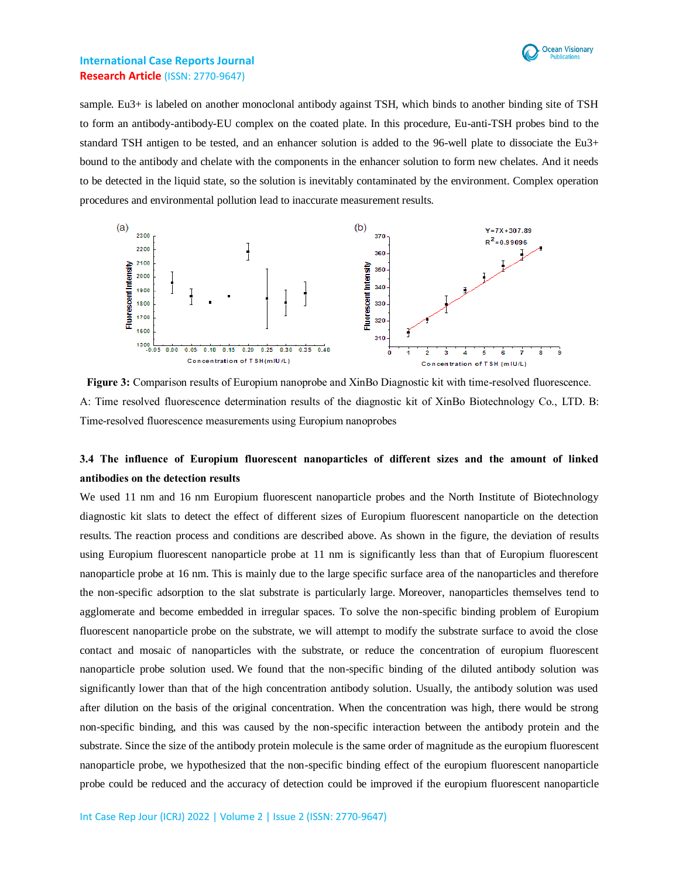

sample. Eu3+ is labeled on another monoclonal antibody against TSH, which binds to another binding site of TSH to form an antibody-antibody-EU complex on the coated plate. In this procedure, Eu-anti-TSH probes bind to the standard TSH antigen to be tested, and an enhancer solution is added to the 96-well plate to dissociate the Eu3+ bound to the antibody and chelate with the components in the enhancer solution to form new chelates. And it needs to be detected in the liquid state, so the solution is inevitably contaminated by the environment. Complex operation procedures and environmental pollution lead to inaccurate measurement results.



**Figure 3:** Comparison results of Europium nanoprobe and XinBo Diagnostic kit with time-resolved fluorescence. A: Time resolved fluorescence determination results of the diagnostic kit of XinBo Biotechnology Co., LTD. B: Time-resolved fluorescence measurements using Europium nanoprobes

# **3.4 The influence of Europium fluorescent nanoparticles of different sizes and the amount of linked antibodies on the detection results**

We used 11 nm and 16 nm Europium fluorescent nanoparticle probes and the North Institute of Biotechnology diagnostic kit slats to detect the effect of different sizes of Europium fluorescent nanoparticle on the detection results. The reaction process and conditions are described above. As shown in the figure, the deviation of results using Europium fluorescent nanoparticle probe at 11 nm is significantly less than that of Europium fluorescent nanoparticle probe at 16 nm. This is mainly due to the large specific surface area of the nanoparticles and therefore the non-specific adsorption to the slat substrate is particularly large. Moreover, nanoparticles themselves tend to agglomerate and become embedded in irregular spaces. To solve the non-specific binding problem of Europium fluorescent nanoparticle probe on the substrate, we will attempt to modify the substrate surface to avoid the close contact and mosaic of nanoparticles with the substrate, or reduce the concentration of europium fluorescent nanoparticle probe solution used. We found that the non-specific binding of the diluted antibody solution was significantly lower than that of the high concentration antibody solution. Usually, the antibody solution was used after dilution on the basis of the original concentration. When the concentration was high, there would be strong non-specific binding, and this was caused by the non-specific interaction between the antibody protein and the substrate. Since the size of the antibody protein molecule is the same order of magnitude as the europium fluorescent nanoparticle probe, we hypothesized that the non-specific binding effect of the europium fluorescent nanoparticle probe could be reduced and the accuracy of detection could be improved if the europium fluorescent nanoparticle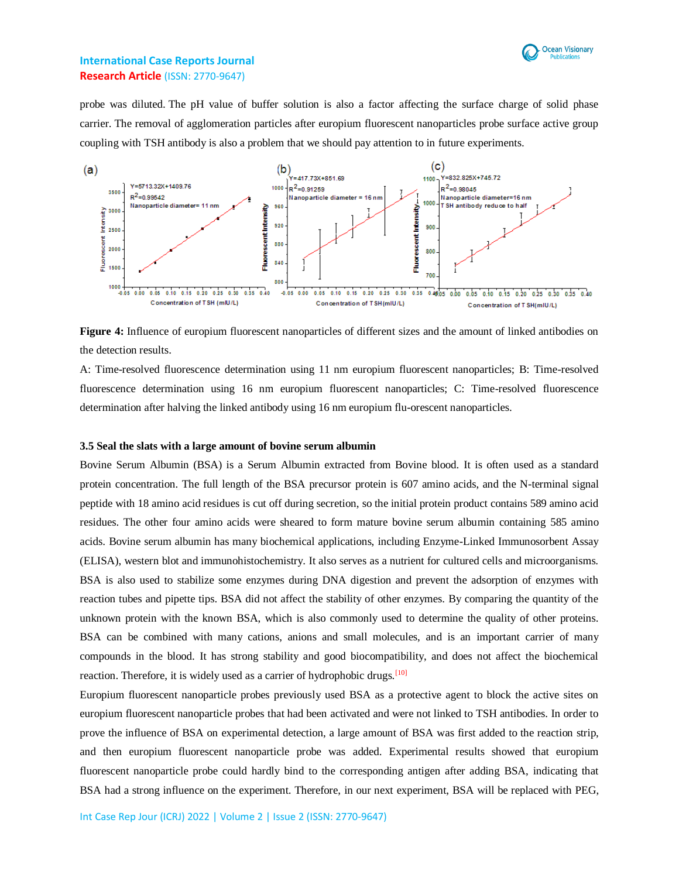

probe was diluted. The pH value of buffer solution is also a factor affecting the surface charge of solid phase carrier. The removal of agglomeration particles after europium fluorescent nanoparticles probe surface active group coupling with TSH antibody is also a problem that we should pay attention to in future experiments.



**Figure 4:** Influence of europium fluorescent nanoparticles of different sizes and the amount of linked antibodies on the detection results.

A: Time-resolved fluorescence determination using 11 nm europium fluorescent nanoparticles; B: Time-resolved fluorescence determination using 16 nm europium fluorescent nanoparticles; C: Time-resolved fluorescence determination after halving the linked antibody using 16 nm europium flu-orescent nanoparticles.

#### **3.5 Seal the slats with a large amount of bovine serum albumin**

Bovine Serum Albumin (BSA) is a Serum Albumin extracted from Bovine blood. It is often used as a standard protein concentration. The full length of the BSA precursor protein is 607 amino acids, and the N-terminal signal peptide with 18 amino acid residues is cut off during secretion, so the initial protein product contains 589 amino acid residues. The other four amino acids were sheared to form mature bovine serum albumin containing 585 amino acids. Bovine serum albumin has many biochemical applications, including Enzyme-Linked Immunosorbent Assay (ELISA), western blot and immunohistochemistry. It also serves as a nutrient for cultured cells and microorganisms. BSA is also used to stabilize some enzymes during DNA digestion and prevent the adsorption of enzymes with reaction tubes and pipette tips. BSA did not affect the stability of other enzymes. By comparing the quantity of the unknown protein with the known BSA, which is also commonly used to determine the quality of other proteins. BSA can be combined with many cations, anions and small molecules, and is an important carrier of many compounds in the blood. It has strong stability and good biocompatibility, and does not affect the biochemical reaction. Therefore, it is widely used as a carrier of hydrophobic drugs.<sup>[10]</sup>

Europium fluorescent nanoparticle probes previously used BSA as a protective agent to block the active sites on europium fluorescent nanoparticle probes that had been activated and were not linked to TSH antibodies. In order to prove the influence of BSA on experimental detection, a large amount of BSA was first added to the reaction strip, and then europium fluorescent nanoparticle probe was added. Experimental results showed that europium fluorescent nanoparticle probe could hardly bind to the corresponding antigen after adding BSA, indicating that BSA had a strong influence on the experiment. Therefore, in our next experiment, BSA will be replaced with PEG,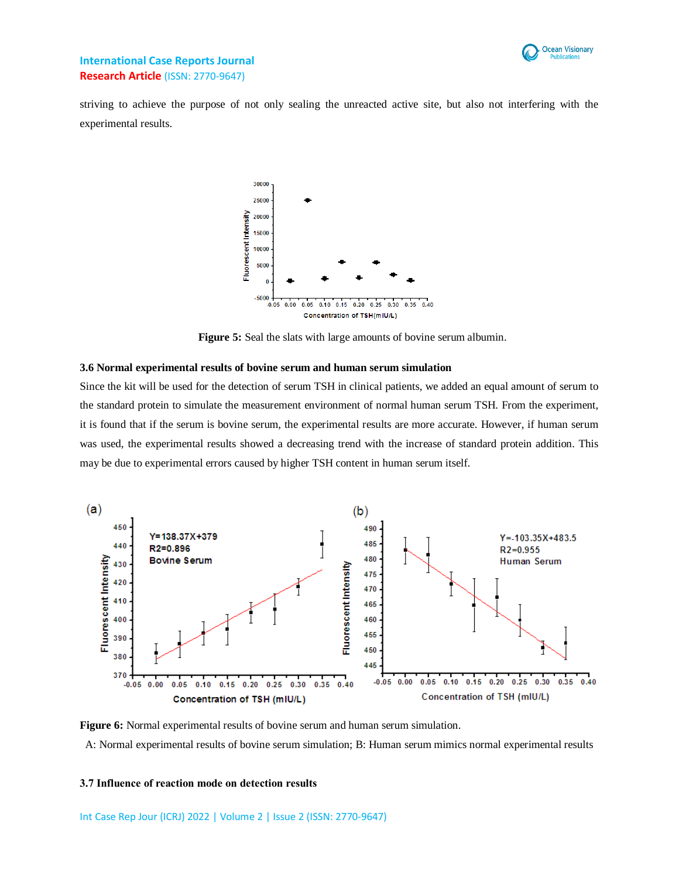

striving to achieve the purpose of not only sealing the unreacted active site, but also not interfering with the experimental results.



**Figure 5:** Seal the slats with large amounts of bovine serum albumin.

#### **3.6 Normal experimental results of bovine serum and human serum simulation**

Since the kit will be used for the detection of serum TSH in clinical patients, we added an equal amount of serum to the standard protein to simulate the measurement environment of normal human serum TSH. From the experiment, it is found that if the serum is bovine serum, the experimental results are more accurate. However, if human serum was used, the experimental results showed a decreasing trend with the increase of standard protein addition. This may be due to experimental errors caused by higher TSH content in human serum itself.



**Figure 6:** Normal experimental results of bovine serum and human serum simulation. A: Normal experimental results of bovine serum simulation; B: Human serum mimics normal experimental results

#### **3.7 Influence of reaction mode on detection results**

Int Case Rep Jour (ICRJ) 2022 | Volume 2 | Issue 2 (ISSN: 2770-9647)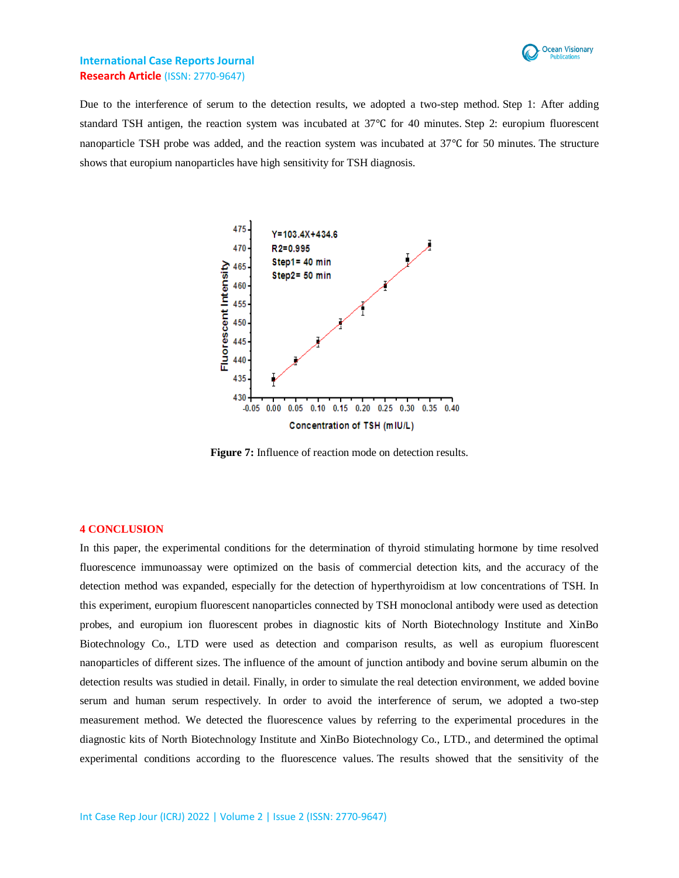

Due to the interference of serum to the detection results, we adopted a two-step method. Step 1: After adding standard TSH antigen, the reaction system was incubated at 37℃ for 40 minutes. Step 2: europium fluorescent nanoparticle TSH probe was added, and the reaction system was incubated at 37℃ for 50 minutes. The structure shows that europium nanoparticles have high sensitivity for TSH diagnosis.



**Figure 7:** Influence of reaction mode on detection results.

#### **4 CONCLUSION**

In this paper, the experimental conditions for the determination of thyroid stimulating hormone by time resolved fluorescence immunoassay were optimized on the basis of commercial detection kits, and the accuracy of the detection method was expanded, especially for the detection of hyperthyroidism at low concentrations of TSH. In this experiment, europium fluorescent nanoparticles connected by TSH monoclonal antibody were used as detection probes, and europium ion fluorescent probes in diagnostic kits of North Biotechnology Institute and XinBo Biotechnology Co., LTD were used as detection and comparison results, as well as europium fluorescent nanoparticles of different sizes. The influence of the amount of junction antibody and bovine serum albumin on the detection results was studied in detail. Finally, in order to simulate the real detection environment, we added bovine serum and human serum respectively. In order to avoid the interference of serum, we adopted a two-step measurement method. We detected the fluorescence values by referring to the experimental procedures in the diagnostic kits of North Biotechnology Institute and XinBo Biotechnology Co., LTD., and determined the optimal experimental conditions according to the fluorescence values. The results showed that the sensitivity of the